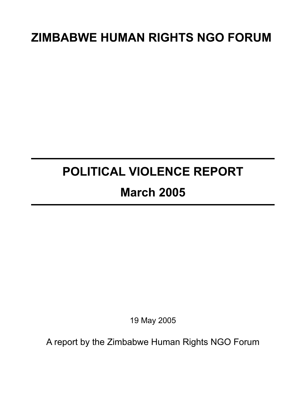# **ZIMBABWE HUMAN RIGHTS NGO FORUM**

# **POLITICAL VIOLENCE REPORT**

## **March 2005**

19 May 2005

A report by the Zimbabwe Human Rights NGO Forum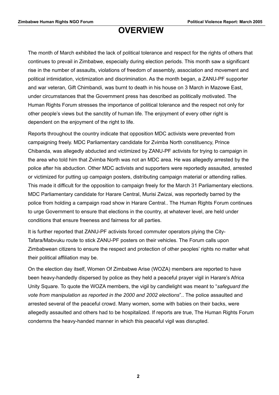### **OVERVIEW**

The month of March exhibited the lack of political tolerance and respect for the rights of others that continues to prevail in Zimbabwe, especially during election periods. This month saw a significant rise in the number of assaults, violations of freedom of assembly, association and movement and political intimidation, victimization and discrimination. As the month began, a ZANU-PF supporter and war veteran, Gift Chimbandi, was burnt to death in his house on 3 March in Mazowe East, under circumstances that the Government press has described as politically motivated. The Human Rights Forum stresses the importance of political tolerance and the respect not only for other people's views but the sanctity of human life. The enjoyment of every other right is dependent on the enjoyment of the right to life.

Reports throughout the country indicate that opposition MDC activists were prevented from campaigning freely. MDC Parliamentary candidate for Zvimba North constituency, Prince Chibanda, was allegedly abducted and victimized by ZANU-PF activists for trying to campaign in the area who told him that Zvimba North was not an MDC area. He was allegedly arrested by the police after his abduction. Other MDC activists and supporters were reportedly assaulted, arrested or victimized for putting up campaign posters, distributing campaign material or attending rallies. This made it difficult for the opposition to campaign freely for the March 31 Parliamentary elections. MDC Parliamentary candidate for Harare Central, Murisi Zwizai, was reportedly barred by the police from holding a campaign road show in Harare Central.. The Human Rights Forum continues to urge Government to ensure that elections in the country, at whatever level, are held under conditions that ensure freeness and fairness for all parties.

It is further reported that ZANU-PF activists forced commuter operators plying the City-Tafara/Mabvuku route to stick ZANU-PF posters on their vehicles. The Forum calls upon Zimbabwean citizens to ensure the respect and protection of other peoples' rights no matter what their political affiliation may be.

On the election day itself, Women Of Zimbabwe Arise (WOZA) members are reported to have been heavy-handedly dispersed by police as they held a peaceful prayer vigil in Harare's Africa Unity Square. To quote the WOZA members, the vigil by candlelight was meant to "*safeguard the vote from manipulation as reported in the 2000 and 2002 elections*".. The police assaulted and arrested several of the peaceful crowd. Many women, some with babies on their backs, were allegedly assaulted and others had to be hospitalized. If reports are true, The Human Rights Forum condemns the heavy-handed manner in which this peaceful vigil was disrupted.

**2**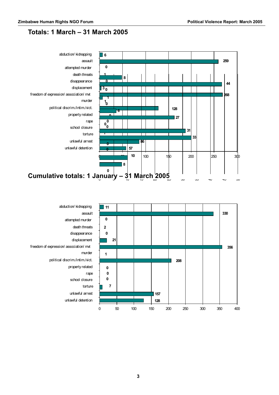### **Totals: 1 March – 31 March 2005**





unlawful arrest torture school closure rape property related political discrim./intim./vict. murder freedom of expression/ association/ mvt displacement disappearance death threats attempted murder assault abduction/ kidnapping

unlawful detention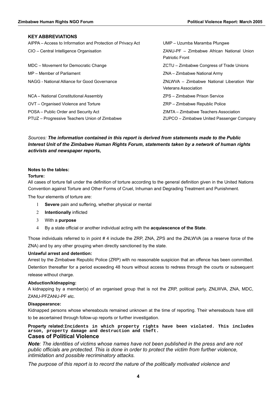#### **KEY ABBREVIATIONS**

| AIPPA – Access to Information and Protection of Privacy Act | UMP - Uzumba Maramba Pfungwe              |  |
|-------------------------------------------------------------|-------------------------------------------|--|
| CIO - Central Intelligence Organisation                     | ZANU-PF - Zimbabwe African National Union |  |
|                                                             | <b>Patriotic Front</b>                    |  |
| MDC - Movement for Democratic Change                        | ZCTU – Zimbabwe Congress of Trade Unions  |  |
| MP - Member of Parliament                                   | ZNA – Zimbabwe National Army              |  |
| NAGG - National Alliance for Good Governance                | ZNLWVA - Zimbabwe National Liberation War |  |
|                                                             | <b>Veterans Association</b>               |  |
| NCA - National Constitutional Assembly                      | ZPS - Zimbabwe Prison Service             |  |
| OVT - Organised Violence and Torture                        | ZRP - Zimbabwe Republic Police            |  |
| POSA – Public Order and Security Act                        | ZIMTA – Zimbabwe Teachers Association     |  |
| PTUZ - Progressive Teachers Union of Zimbabwe               | ZUPCO – Zimbabwe United Passenger Company |  |
|                                                             |                                           |  |

#### *Sources: The information contained in this report is derived from statements made to the Public Interest Unit of the Zimbabwe Human Rights Forum, statements taken by a network of human rights activists and newspaper reports,*

#### **Notes to the tables:**

#### **Torture:**

All cases of torture fall under the definition of torture according to the general definition given in the United Nations Convention against Torture and Other Forms of Cruel, Inhuman and Degrading Treatment and Punishment.

The four elements of torture are:

- 1 **Severe** pain and suffering, whether physical or mental
- 2 **Intentionally** inflicted
- 3 With a **purpose**
- 4 By a state official or another individual acting with the **acquiescence of the State**.

Those individuals referred to in point # 4 include the ZRP, ZNA, ZPS and the ZNLWVA (as a reserve force of the ZNA) and by any other grouping when directly sanctioned by the state.

#### **Unlawful arrest and detention:**

Arrest by the Zimbabwe Republic Police (ZRP) with no reasonable suspicion that an offence has been committed. Detention thereafter for a period exceeding 48 hours without access to redress through the courts or subsequent release without charge.

#### **Abduction/kidnapping:**

A kidnapping by a member(s) of an organised group that is not the ZRP, political party, ZNLWVA, ZNA, MDC, ZANU-PFZANU-PF etc.

#### **Disappearance:**

Kidnapped persons whose whereabouts remained unknown at the time of reporting. Their whereabouts have still to be ascertained through follow-up reports or further investigation.

**Property related:Incidents in which property rights have been violated. This includes arson, property damage and destruction and theft.**

#### **Cases of Political Violence**

*Note: The identities of victims whose names have not been published in the press and are not public officials are protected. This is done in order to protect the victim from further violence, intimidation and possible recriminatory attacks.*

*The purpose of this report is to record the nature of the politically motivated violence and*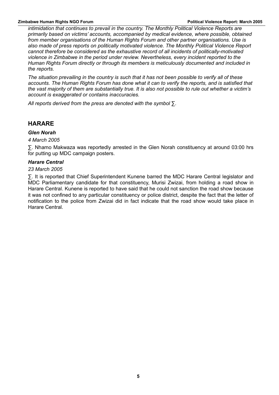*intimidation that continues to prevail in the country. The Monthly Political Violence Reports are primarily based on victims' accounts, accompanied by medical evidence, where possible, obtained from member organisations of the Human Rights Forum and other partner organisations. Use is also made of press reports on politically motivated violence. The Monthly Political Violence Report cannot therefore be considered as the exhaustive record of all incidents of politically-motivated violence in Zimbabwe in the period under review. Nevertheless, every incident reported to the Human Rights Forum directly or through its members is meticulously documented and included in the reports.*

*The situation prevailing in the country is such that it has not been possible to verify all of these accounts. The Human Rights Forum has done what it can to verify the reports, and is satisfied that the vast majority of them are substantially true. It is also not possible to rule out whether a victim's account is exaggerated or contains inaccuracies.*

*All reports derived from the press are denoted with the symbol ∑.*

#### **HARARE**

#### *Glen Norah*

*4 March 2005*

∑. Nhamo Makwaza was reportedly arrested in the Glen Norah constituency at around 03:00 hrs for putting up MDC campaign posters.

#### *Harare Central*

#### *23 March 2005*

∑. It is reported that Chief Superintendent Kunene barred the MDC Harare Central legislator and MDC Parliamentary candidate for that constituency, Murisi Zwizai, from holding a road show in Harare Central. Kunene is reported to have said that he could not sanction the road show because it was not confined to any particular constituency or police district, despite the fact that the letter of notification to the police from Zwizai did in fact indicate that the road show would take place in Harare Central.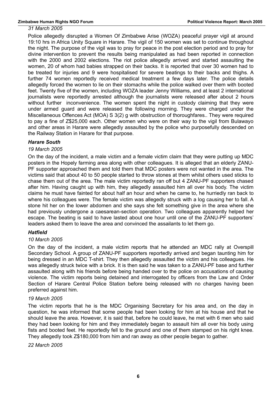#### *31 March 2005*

Police allegedly disrupted a Women Of Zimbabwe Arise (WOZA) peaceful prayer vigil at around 19:10 hrs in Africa Unity Square in Harare. The vigil of 150 women was set to continue throughout the night. The purpose of the vigil was to pray for peace in the post election period and to pray for divine intervention to prevent the results being manipulated as had been reported in connection with the 2000 and 2002 elections. The riot police allegedly arrived and started assaulting the women, 20 of whom had babies strapped on their backs. It is reported that over 30 women had to be treated for injuries and 9 were hospitalised for severe beatings to their backs and thighs. A further 74 women reportedly received medical treatment a few days later. The police details allegedly forced the women to lie on their stomachs while the police walked over them with booted feet. Twenty five of the women, including WOZA leader Jenny Williams, and at least 2 international journalists were reportedly arrested although the journalists were released after about 2 hours without further inconvenience. The women spent the night in custody claiming that they were under armed guard and were released the following morning. They were charged under the Miscellaneous Offences Act (MOA) S 3(2) g with obstruction of thoroughfares.. They were required to pay a fine of Z\$25,000 each. Other women who were on their way to the vigil from Bulawayo and other areas in Harare were allegedly assaulted by the police who purposefully descended on the Railway Station in Harare for that purpose.

#### *Harare South*

#### *19 March 2005*

On the day of the incident, a male victim and a female victim claim that they were putting up MDC posters in the Hopely farming area along with other colleagues. It is alleged that an elderly ZANU-PF supporter approached them and told them that MDC posters were not wanted in the area. The victims said that about 40 to 50 people started to throw stones at them whilst others used sticks to chase them out of the area. The male victim reportedly ran off but 4 ZANU-PF supporters chased after him. Having caught up with him, they allegedly assaulted him all over his body. The victim claims he must have fainted for about half an hour and when he came to, he hurriedly ran back to where his colleagues were. The female victim was allegedly struck with a log causing her to fall. A stone hit her on the lower abdomen and she says she felt something give in the area where she had previously undergone a caesarean-section operation. Two colleagues apparently helped her escape. The beating is said to have lasted about one hour until one of the ZANU-PF supporters' leaders asked them to leave the area and convinced the assailants to let them go.

#### *Hatfield*

#### *10 March 2005*

On the day of the incident, a male victim reports that he attended an MDC rally at Overspill Secondary School. A group of ZANU-PF supporters reportedly arrived and began taunting him for being dressed in an MDC T-shirt. They then allegedly assaulted the victim and his colleagues. He was allegedly struck twice with a brick. It is then said he was taken to a ZANU-PF base and further assaulted along with his friends before being handed over to the police on accusations of causing violence. The victim reports being detained and interrogated by officers from the Law and Order Section of Harare Central Police Station before being released with no charges having been preferred against him.

#### *19 March 2005*

The victim reports that he is the MDC Organising Secretary for his area and, on the day in question, he was informed that some people had been looking for him at his house and that he should leave the area. However, it is said that, before he could leave, he met with 6 men who said they had been looking for him and they immediately began to assault him all over his body using fists and booted feet. He reportedly fell to the ground and one of them stamped on his right knee. They allegedly took Z\$180,000 from him and ran away as other people began to gather.

*22 March 2005*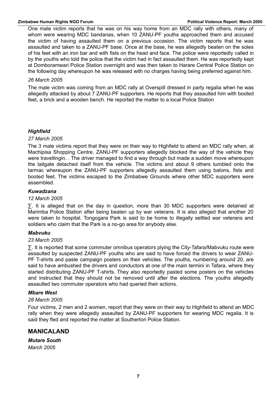One male victim reports that he was on his way home from an MDC rally with others, many of whom were wearing MDC bandanas, when 10 ZANU-PF youths approached them and accused the victim of having assaulted them on a previous occasion. The victim reports that he was assaulted and taken to a ZANU-PF base. Once at the base, he was allegedly beaten on the soles of his feet with an iron bar and with fists on the head and face. The police were reportedly called in by the youths who told the police that the victim had in fact assaulted them. He was reportedly kept at Domboramwari Police Station overnight and was then taken to Harare Central Police Station on the following day whereupon he was released with no charges having being preferred against him.

#### *26 March 2005*

The male victim was coming from an MDC rally at Overspill dressed in party regalia when he was allegedly attacked by about 7 ZANU-PF supporters. He reports that they assaulted him with booted feet, a brick and a wooden bench. He reported the matter to a local Police Station

#### *Highfield*

#### *27 March 2005*

The 3 male victims report that they were on their way to Highfield to attend an MDC rally when, at Machipisa Shopping Centre, ZANU-PF supporters allegedly blocked the way of the vehicle they were travellingin. . The driver managed to find a way through but made a sudden move whereupon the tailgate detached itself from the vehicle. The victims and about 9 others tumbled onto the tarmac whereupon the ZANU-PF supporters allegedly assaulted them using batons, fists and booted feet. The victims escaped to the Zimbabwe Grounds where other MDC supporters were assembled.

#### *Kuwadzana*

#### *12 March 2005*

∑. It is alleged that on the day in question, more than 30 MDC supporters were detained at Marimba Police Station after being beaten up by war veterans. It is also alleged that another 20 were taken to hospital. Tongogara Park is said to be home to illegally settled war veterans and soldiers who claim that the Park is a no-go area for anybody else.

#### *Mabvuku*

#### *23 March 2005*

∑. It is reported that some commuter omnibus operators plying the City-Tafara/Mabvuku route were assaulted by suspected ZANU-PF youths who are said to have forced the drivers to wear ZANU-PF T-shirts and paste campaign posters on their vehicles. The youths, numbering around 20, are said to have ambushed the drivers and conductors at one of the main termini in Tafara, where they started distributing ZANU-PF T-shirts. They also reportedly pasted some posters on the vehicles and instructed that they should not be removed until after the elections. The youths allegedly assaulted two commuter operators who had queried their actions.

#### *Mbare West*

#### *28 March 2005*

Four victims, 2 men and 2 women, report that they were on their way to Highfield to attend an MDC rally when they were allegedly assaulted by ZANU-PF supporters for wearing MDC regalia. It is said they fled and reported the matter at Southerton Police Station.

#### **MANICALAND**

*Mutare South March 2005*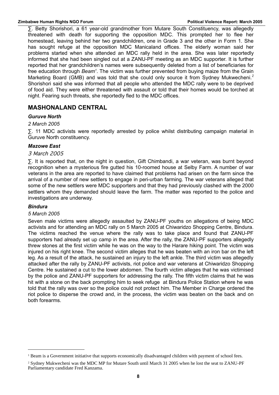∑. Betty Shorishori, a 61 year-old grandmother from Mutare South Constituency, was allegedly threatened with death for supporting the opposition MDC. This prompted her to flee her homestead, leaving behind her two grandchildren, one in Grade 3 and the other in Form 1. She has sought refuge at the opposition MDC Manicaland offices. The elderly woman said her problems started when she attended an MDC rally held in the area. She was later reportedly informed that she had been singled out at a ZANU-PF meeting as an MDC supporter. It is further reported that her grandchildren's names were subsequently deleted from a list of beneficiaries for free education through *Beam<sup>[1](#page-7-0)</sup>*. The victim was further prevented from buying maize from the Grain Marketing Board (GMB) and was told that she could only source it from Sydney Mukwecheni.<sup>[2](#page-7-1)</sup> Shorishori said she was informed that all people who attended the MDC rally were to be deprived of food aid. They were either threatened with assault or told that their homes would be torched at night. Fearing such threats, she reportedly fled to the MDC offices.

#### **MASHONALAND CENTRAL**

#### *Guruve North*

#### *2 March 2005*

∑. 11 MDC activists were reportedly arrested by police whilst distributing campaign material in Guruve North constituency.

#### *Mazowe East*

#### 3 March 2005

∑. It is reported that, on the night in question, Gift Chimbandi, a war veteran, was burnt beyond recognition when a mysterious fire gutted his 10-roomed house at Selby Farm. A number of war veterans in the area are reported to have claimed that problems had arisen on the farm since the arrival of a number of new settlers to engage in peri-urban farming. The war veterans alleged that some of the new settlers were MDC supporters and that they had previously clashed with the 2000 settlers whom they demanded should leave the farm. The matter was reported to the police and investigations are underway.

#### *Bindura*

#### *5 March 2005*

Seven male victims were allegedly assaulted by ZANU-PF youths on allegations of being MDC activists and for attending an MDC rally on 5 March 2005 at Chiwaridzo Shopping Centre, Bindura. The victims reached the venue where the rally was to take place and found that ZANU-PF supporters had already set up camp in the area. After the rally, the ZANU-PF supporters allegedly threw stones at the first victim while he was on the way to the Harare hiking point. The victim was injured on his right knee. The second victim alleges that he was beaten with an iron bar on the left leg. As a result of the attack, he sustained an injury to the left ankle. The third victim was allegedly attacked after the rally by ZANU-PF activists, riot police and war veterans at Chiwaridzo Shopping Centre. He sustained a cut to the lower abdomen. The fourth victim alleges that he was victimised by the police and ZANU-PF supporters for addressing the rally. The fifth victim claims that he was hit with a stone on the back prompting him to seek refuge at Bindura Police Station where he was told that the rally was over so the police could not protect him. The Member in Charge ordered the riot police to disperse the crowd and, in the process, the victim was beaten on the back and on both forearms.

<span id="page-7-0"></span><sup>&</sup>lt;sup>1</sup> Beam is a Government initiative that supports economically disadvantaged children with payment of school fees.

<span id="page-7-1"></span><sup>2</sup> Sydney Mukwecheni was the MDC MP for Mutare South until March 31 2005 when he lost the seat to ZANU-PF Parliamentary candidate Fred Kanzama.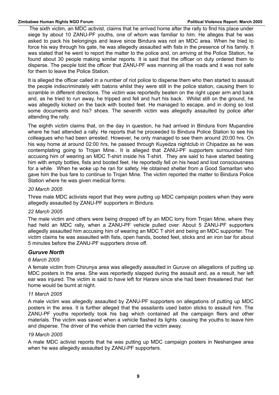The sixth victim, an MDC activist, claims that he arrived home after the rally to find his place under siege by about 10 ZANU-PF youths, one of whom was familiar to him. He alleges that he was asked to pack his belongings and leave since Bindura was not an MDC area. When he tried to force his way through his gate, he was allegedly assaulted with fists in the presence of his family. It was stated that he went to report the matter to the police and, on arriving at the Police Station, he found about 30 people making similar reports. It is said that the officer on duty ordered them to disperse. The people told the officer that ZANU-PF was manning all the roads and it was not safe for them to leave the Police Station.

It is alleged the officer called in a number of riot police to disperse them who then started to assault the people indiscriminately with batons whilst they were still in the police station, causing them to scramble in different directions. The victim was reportedly beaten on the right upper arm and back and, as he tried to run away, he tripped and fell and hurt his back. Whilst still on the ground, he was allegedly kicked on the back with booted feet. He managed to escape, and in doing so lost some documents and his? shoes. The seventh victim was allegedly assaulted by police after attending the rally.

The eighth victim claims that, on the day in question, he had arrived in Bindura from Mupandire where he had attended a rally. He reports that he proceeded to Bindura Police Station to see his colleagues who had been arrested. However, he only managed to see them around 20:00 hrs. On his way home at around 02:00 hrs, he passed through Kuyedza nightclub in Chipadze as he was contemplating going to Trojan Mine.. It is alleged that ZANU-PF supporters surrounded him accusing him of wearing an MDC T-shirt inside his T-shirt. They are said to have started beating him with empty bottles, fists and booted feet. He reportedly fell on his head and lost consciousness for a while. When he woke up he ran for safety. He obtained shelter from a Good Samaritan who gave him the bus fare to continue to Trojan Mine. The victim reported the matter to Bindura Police Station where he was given medical forms.

#### *20 March 2005*

Three male MDC activists report that they were putting up MDC campaign posters when they were allegedly assaulted by ZANU-PF supporters in Bindura.

#### *22 March 2005*

The male victim and others were being dropped off by an MDC lorry from Trojan Mine, where they had held an MDC rally, when a ZANU-PF vehicle pulled over. About 5 ZANU-PF supporters allegedly assaulted him accusing him of wearing an MDC T shirt and being an MDC supporter. The victim claims he was assaulted with fists, open hands, booted feet, sticks and an iron bar for about 5 minutes before the ZANU-PF supporters drove off.

#### *Guruve North*

#### *6 March 2005*

A female victim from Chirunya area was allegedly assaulted in Guruve on allegations of putting up MDC posters in the area. She was reportedly slapped during the assault and, as a result, her left ear was injured. The victim is said to have left for Harare since she had been threatened that her home would be burnt at night.

#### *11 March 2005*

A male victim was allegedly assaulted by ZANU-PF supporters on allegations of putting up MDC posters in the area. It is further alleged that the assailants used baton sticks to assault him. The ZANU-PF youths reportedly took his bag which contained all the campaign fliers and other materials. The victim was saved when a vehicle flashed its lights causing the youths to leave him and disperse. The driver of the vehicle then carried the victim away.

#### *19 March 2005*

A male MDC activist reports that he was putting up MDC campaign posters in Neshangwe area when he was allegedly assaulted by ZANU-PF supporters.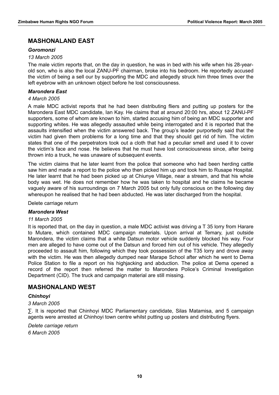#### **MASHONALAND EAST**

#### *Goromonzi*

#### *13 March 2005*

The male victim reports that, on the day in question, he was in bed with his wife when his 28-yearold son, who is also the local ZANU-PF chairman, broke into his bedroom. He reportedly accused the victim of being a sell our by supporting the MDC and allegedly struck him three times over the left eyebrow with an unknown object before he lost consciousness.

#### *Marondera East*

#### *4 March 2005*

A male MDC activist reports that he had been distributing fliers and putting up posters for the Marondera East MDC candidate, Ian Kay. He claims that at around 20:00 hrs, about 12 ZANU-PF supporters, some of whom are known to him, started accusing him of being an MDC supporter and supporting whites. He was allegedly assaulted while being interrogated and it is reported that the assaults intensified when the victim answered back. The group's leader purportedly said that the victim had given them problems for a long time and that they should get rid of him. The victim states that one of the perpetrators took out a cloth that had a peculiar smell and used it to cover the victim's face and nose. He believes that he must have lost consciousness since, after being thrown into a truck, he was unaware of subsequent events.

The victim claims that he later learnt from the police that someone who had been herding cattle saw him and made a report to the police who then picked him up and took him to Rusape Hospital. He later learnt that he had been picked up at Chiunye Village, near a stream, and that his whole body was wet. He does not remember how he was taken to hospital and he claims he became vaguely aware of his surroundings on 7 March 2005 but only fully conscious on the following day whereupon he realised that he had been abducted. He was later discharged from the hospital.

Delete carriage return

#### *Marondera West*

#### *11 March 2005*

It is reported that, on the day in question, a male MDC activist was driving a T 35 lorry from Harare to Mutare, which contained MDC campaign materials. Upon arrival at Temary, just outside Marondera, the victim claims that a white Datsun motor vehicle suddenly blocked his way. Four men are alleged to have come out of the Datsun and forced him out of his vehicle. They allegedly proceeded to assault him, following which they took possession of the T35 lorry and drove away with the victim. He was then allegedly dumped near Marape School after which he went to Dema Police Station to file a report on his highjacking and abduction. The police at Dema opened a record of the report then referred the matter to Marondera Police's Criminal Investigation Department (CID). The truck and campaign material are still missing.

#### **MASHONALAND WEST**

#### *Chinhoyi*

#### *3 March 2005*

∑. It is reported that Chinhoyi MDC Parliamentary candidate, Silas Matamisa, and 5 campaign agents were arrested at Chinhoyi town centre whilst putting up posters and distributing flyers.

*Delete carriage return 6 March 2005*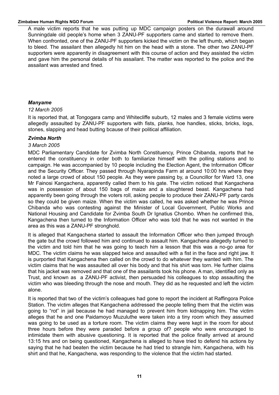A male victim reports that he was putting up MDC campaign posters on the durawall around Sunningdale old people's home when 3 ZANU-PF supporters came and started to remove them. When confronted, one of the ZANU-PF supporters kicked the victim on the left thumb, which began to bleed. The assailant then allegedly hit him on the head with a stone. The other two ZANU-PF supporters were apparently in disagreement with this course of action and they assisted the victim and gave him the personal details of his assailant. The matter was reported to the police and the assailant was arrested and fined.

#### *Manyame*

#### *12 March 2005*

It is reported that, at Tongogara camp and Whitecliffe suburb, 12 males and 3 female victims were allegedly assaulted by ZANU-PF supporters with fists, planks, hoe handles, sticks, bricks, logs, stones, slapping and head butting bcause of their political affiliation.

#### *Zvimba North*

#### *3 March 2005*

MDC Parliamentary Candidate for Zvimba North Constituency, Prince Chibanda, reports that he entered the constituency in order both to familiarize himself with the polling stations and to campaign. He was accompanied by 10 people including the Election Agent, the Information Officer and the Security Officer. They passed through Nyarapinda Farm at around 10:00 hrs where they noted a large crowd of about 150 people. As they were passing by, a Councillor for Ward 13, one Mr Fainosi Kangachena, apparently called them to his gate. The victim noticed that Kangachena was in possession of about 150 bags of maize and a slaughtered beast. Kangachena had apparently been going through the voters roll, asking people to produce their ZANU-PF party cards so they could be given maize. When the victim was called, he was asked whether he was Prince Chibanda who was contesting against the Minister of Local Government, Public Works and National Housing and Candidate for Zvimba South Dr Ignatius Chombo. When he confirmed this, Kangachena then turned to the Information Officer who was told that he was not wanted in the area as this was a ZANU-PF stronghold.

It is alleged that Kangachena started to assault the Information Officer who then jumped through the gate but the crowd followed him and continued to assault him. Kangachena allegedly turned to the victim and told him that he was going to teach him a lesson that this was a no-go area for MDC. The victim claims he was slapped twice and assaulted with a fist in the face and right jaw. It is purported that Kangachena then called on the crowd to do whatever they wanted with him. The victim claims that he was assaulted all over his body and that his shirt was torn. He further claims that his jacket was removed and that one of the assailants took his phone. A man, identified only as Trust, and known as a ZANU-PF activist, then persuaded his colleagues to stop assaulting the victim who was bleeding through the nose and mouth. They did as he requested and left the victim alone.

It is reported that two of the victim's colleagues had gone to report the incident at Raffingora Police Station. The victim alleges that Kangachena addressed the people telling them that the victim was going to "rot" in jail because he had managed to prevent him from kidnapping him. The victim alleges that he and one Paidamoyo Muzuluthe were taken into a tiny room which they assumed was going to be used as a torture room. The victim claims they were kept in the room for about three hours before they were paraded before a group of? people who were encouraged to intimidate them with abusive questioning. It is reported that the police finally arrived at around 13:15 hrs and on being questioned, Kangachena is alleged to have tried to defend his actions by saying that he had beaten the victim because he had tried to strangle him, Kangachena, with his shirt and that he, Kangachena, was responding to the violence that the victim had started.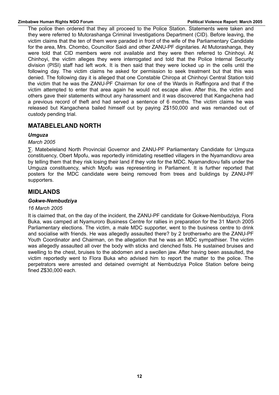The police then ordered that they all proceed to the Police Station. Statements were taken and they were referred to Mutorashanga Criminal Investigations Department (CID). Before leaving, the victim claims that the ten of them were paraded in front of the wife of the Parliamentary Candidate for the area, Mrs. Chombo, Councillor Saidi and other ZANU-PF dignitaries. At Mutorashanga, they were told that CID members were not available and they were then referred to Chinhoyi. At Chinhoyi, the victim alleges they were interrogated and told that the Police Internal Security division (PISI) staff had left work. It is then said that they were locked up in the cells until the following day. The victim claims he asked for permission to seek treatment but that this was denied. The following day it is alleged that one Constable Chiropa at Chinhoyi Central Station told the victim that he was the ZANU-PF Chairman for one of the Wards in Raffingora and that if the victim attempted to enter that area again he would not escape alive. After this, the victim and others gave their statements without any harassment and it was discovered that Kangachena had a previous record of theft and had served a sentence of 6 months. The victim claims he was released but Kangachena bailed himself out by paying Z\$150,000 and was remanded out of custody pending trial.

#### **MATABELELAND NORTH**

#### *Umguza*

#### *March 2005*

∑. Matebeleland North Provincial Governor and ZANU-PF Parliamentary Candidate for Umguza constituency, Obert Mpofu, was reportedly intimidating resettled villagers in the Nyamandlovu area by telling them that they risk losing their land if they vote for the MDC. Nyamandlovu falls under the Umguza constituency, which Mpofu was representing in Parliament. It is further reported that posters for the MDC candidate were being removed from trees and buildings by ZANU-PF supporters.

#### **MIDLANDS**

#### *Gokwe-Nembudziya*

#### *16 March 2005*

It is claimed that, on the day of the incident, the ZANU-PF candidate for Gokwe-Nembudziya, Flora Buka, was camped at Nyamuroro Business Centre for rallies in preparation for the 31 March 2005 Parliamentary elections. The victim, a male MDC supporter, went to the business centre to drink and socialise with friends. He was allegedly assaulted there? by 2 brotherswho are the ZANU-PF Youth Coordinator and Chairman, on the allegation that he was an MDC sympathiser. The victim was allegedly assaulted all over the body with sticks and clenched fists. He sustained bruises and swelling to the chest, bruises to the abdomen and a swollen jaw. After having been assaulted, the victim reportedly went to Flora Buka who advised him to report the matter to the police. The perpetrators were arrested and detained overnight at Nembudziya Police Station before being fined Z\$30,000 each.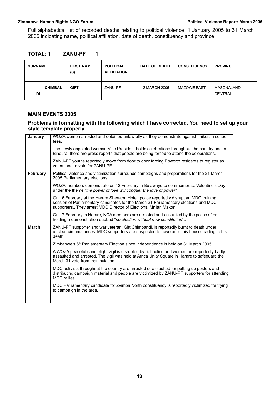Full alphabetical list of recorded deaths relating to political violence, 1 January 2005 to 31 March 2005 indicating name, political affiliation, date of death, constituency and province.

| <b>TOTAL: 1</b> | <b>ZANU-PF</b> |
|-----------------|----------------|
|-----------------|----------------|

| <b>SURNAME</b>       | <b>FIRST NAME</b><br>(S) | <b>POLITICAL</b><br><b>AFFILIATION</b> | <b>DATE OF DEATH</b> | <b>CONSTITUENCY</b> | <b>PROVINCE</b>              |
|----------------------|--------------------------|----------------------------------------|----------------------|---------------------|------------------------------|
| <b>CHIMBAN</b><br>DI | <b>GIFT</b>              | ZANU-PF                                | 3 MARCH 2005         | <b>MAZOWE EAST</b>  | MASONALAND<br><b>CENTRAL</b> |

#### **MAIN EVENTS 2005**

#### **Problems in formatting with the following which I have corrected. You need to set up your style template properly**

| January      | WOZA women arrested and detained unlawfully as they demonstrate against hikes in school<br>fees.                                                                                                                                                   |
|--------------|----------------------------------------------------------------------------------------------------------------------------------------------------------------------------------------------------------------------------------------------------|
|              | The newly appointed woman Vice President holds celebrations throughout the country and in<br>Bindura, there are press reports that people are being forced to attend the celebrations.                                                             |
|              | ZANU-PF youths reportedly move from door to door forcing Epworth residents to register as<br>voters and to vote for ZANU-PF                                                                                                                        |
| February     | Political violence and victimization surrounds campaigns and preparations for the 31 March<br>2005 Parliamentary elections.                                                                                                                        |
|              | WOZA members demonstrate on 12 February in Bulawayo to commemorate Valentine's Day<br>under the theme "the power of love will conquer the love of power".                                                                                          |
|              | On 16 February at the Harare Sheraton Hotel, police reportedly disrupt an MDC training<br>session of Parliamentary candidates for the March 31 Parliamentary elections and MDC<br>supporters They arrest MDC Director of Elections, Mr Ian Makoni. |
|              | On 17 February in Harare, NCA members are arrested and assaulted by the police after<br>holding a demonstration dubbed "no election without new constitution"                                                                                      |
| <b>March</b> | ZANU-PF supporter and war veteran, Gift Chimbandi, is reportedly burnt to death under<br>unclear circumstances. MDC supporters are suspected to have burnt his house leading to his<br>death.                                                      |
|              | Zimbabwe's $6th$ Parliamentary Election since independence is held on 31 March 2005.                                                                                                                                                               |
|              | A WOZA peaceful candlelight vigil is disrupted by riot police and women are reportedly badly<br>assaulted and arrested. The vigil was held at Africa Unity Square in Harare to safeguard the<br>March 31 vote from manipulation.                   |
|              | MDC activists throughout the country are arrested or assaulted for putting up posters and<br>distributing campaign material and people are victimized by ZANU-PF supporters for attending<br>MDC rallies.                                          |
|              |                                                                                                                                                                                                                                                    |
|              | MDC Parliamentary candidate for Zvimba North constituency is reportedly victimized for trying<br>to campaign in the area.                                                                                                                          |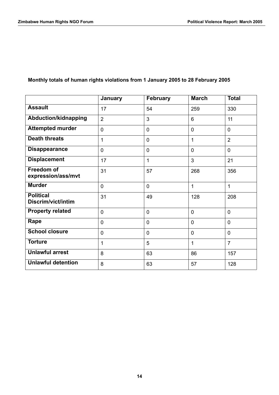#### **Monthly totals of human rights violations from 1 January 2005 to 28 February 2005**

|                                         | January        | <b>February</b> | <b>March</b>   | <b>Total</b>   |
|-----------------------------------------|----------------|-----------------|----------------|----------------|
| <b>Assault</b>                          | 17             | 54              | 259            | 330            |
| <b>Abduction/kidnapping</b>             | $\overline{2}$ | 3               | 6              | 11             |
| <b>Attempted murder</b>                 | $\overline{0}$ | 0               | $\overline{0}$ | $\mathbf 0$    |
| <b>Death threats</b>                    | 1              | 0               | 1              | $\overline{2}$ |
| <b>Disappearance</b>                    | $\overline{0}$ | $\mathbf 0$     | $\overline{0}$ | $\mathbf 0$    |
| <b>Displacement</b>                     | 17             | 1               | 3              | 21             |
| <b>Freedom of</b><br>expression/ass/mvt | 31             | 57              | 268            | 356            |
| <b>Murder</b>                           | $\overline{0}$ | 0               | $\mathbf{1}$   | 1              |
| <b>Political</b><br>Discrim/vict/intim  | 31             | 49              | 128            | 208            |
| <b>Property related</b>                 | $\overline{0}$ | $\overline{0}$  | $\overline{0}$ | $\overline{0}$ |
| Rape                                    | $\overline{0}$ | $\overline{0}$  | $\mathbf 0$    | $\mathbf 0$    |
| <b>School closure</b>                   | $\mathbf 0$    | $\overline{0}$  | $\mathbf 0$    | $\mathbf 0$    |
| <b>Torture</b>                          | 1              | 5               | 1              | $\overline{7}$ |
| <b>Unlawful arrest</b>                  | 8              | 63              | 86             | 157            |
| <b>Unlawful detention</b>               | 8              | 63              | 57             | 128            |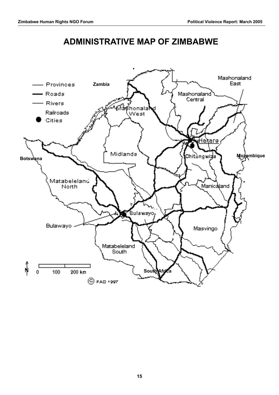### **ADMINISTRATIVE MAP OF ZIMBABWE**